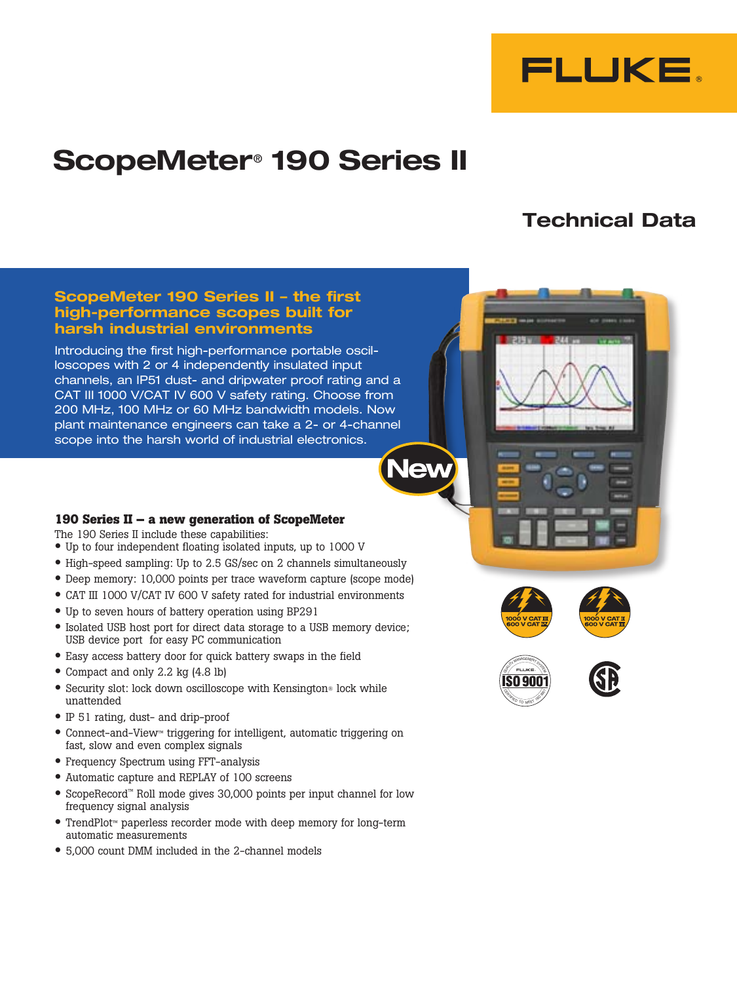

# ScopeMeter® 190 Series II

# **Technical Data**

### **ScopeMeter 190 Series II – the first high-performance scopes built for harsh industrial environments**

Introducing the first high-performance portable oscilloscopes with 2 or 4 independently insulated input channels, an IP51 dust- and dripwater proof rating and a CAT III 1000 V/CAT IV 600 V safety rating. Choose from 200 MHz, 100 MHz or 60 MHz bandwidth models. Now plant maintenance engineers can take a 2- or 4-channel scope into the harsh world of industrial electronics.



### **190 Series II – a new generation of ScopeMeter**

The 190 Series II include these capabilities:

- Up to four independent floating isolated inputs, up to 1000 V
- High-speed sampling: Up to 2.5 GS/sec on 2 channels simultaneously
- Deep memory: 10,000 points per trace waveform capture (scope mode)
- CAT III 1000 V/CAT IV 600 V safety rated for industrial environments
- Up to seven hours of battery operation using BP291
- Isolated USB host port for direct data storage to a USB memory device; USB device port for easy PC communication
- Easy access battery door for quick battery swaps in the field
- Compact and only 2.2 kg (4.8 lb)
- Security slot: lock down oscilloscope with Kensington® lock while unattended
- IP 51 rating, dust- and drip-proof
- Connect-and-View™ triggering for intelligent, automatic triggering on fast, slow and even complex signals
- Frequency Spectrum using FFT-analysis
- Automatic capture and REPLAY of 100 screens
- ScopeRecord™ Roll mode gives 30,000 points per input channel for low frequency signal analysis
- TrendPlot™ paperless recorder mode with deep memory for long-term automatic measurements
- 5,000 count DMM included in the 2-channel models







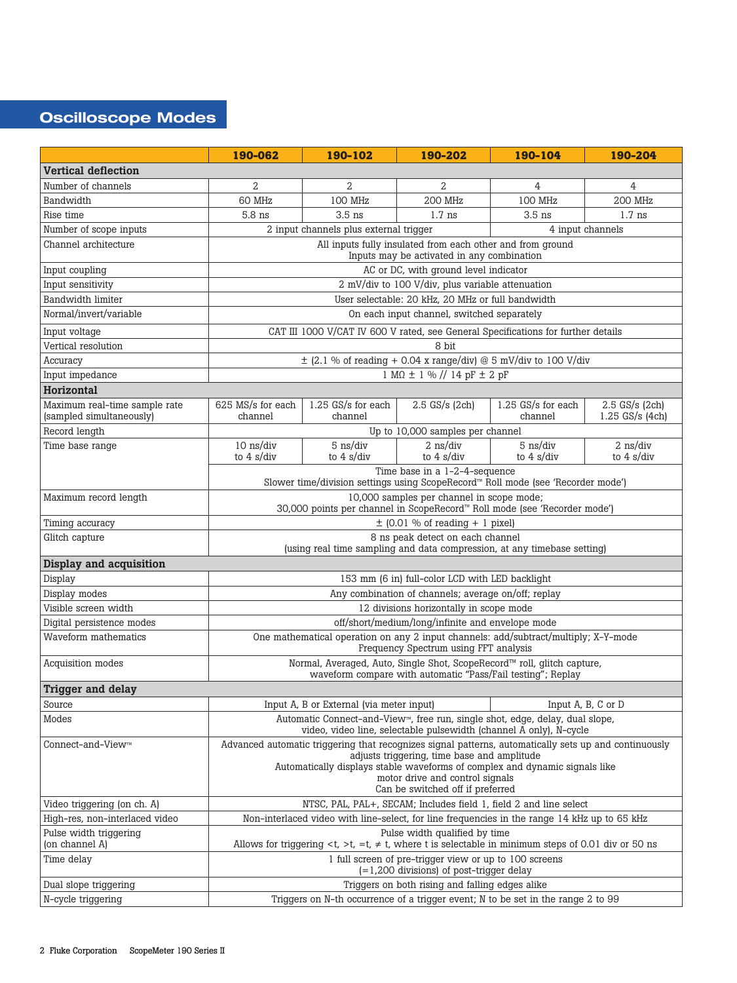# **Oscilloscope Modes**

|                                                           | 190-062                                                                                                                                                    | 190-102                                        | 190-202                                                                                                  | 190-104                                                                           | 190-204                                          |
|-----------------------------------------------------------|------------------------------------------------------------------------------------------------------------------------------------------------------------|------------------------------------------------|----------------------------------------------------------------------------------------------------------|-----------------------------------------------------------------------------------|--------------------------------------------------|
| <b>Vertical deflection</b>                                |                                                                                                                                                            |                                                |                                                                                                          |                                                                                   |                                                  |
| Number of channels                                        | 2                                                                                                                                                          | 2                                              | 2                                                                                                        | 4                                                                                 | 4                                                |
| Bandwidth                                                 | 60 MHz                                                                                                                                                     | 100 MHz                                        | 200 MHz                                                                                                  | 100 MHz                                                                           | 200 MHz                                          |
| Rise time                                                 | $5.8$ ns                                                                                                                                                   | $3.5$ ns                                       | $1.7$ ns                                                                                                 | $3.5$ ns                                                                          | $1.7$ ns                                         |
| Number of scope inputs                                    |                                                                                                                                                            | 2 input channels plus external trigger         |                                                                                                          |                                                                                   | 4 input channels                                 |
| Channel architecture                                      |                                                                                                                                                            |                                                | All inputs fully insulated from each other and from ground<br>Inputs may be activated in any combination |                                                                                   |                                                  |
| Input coupling                                            |                                                                                                                                                            |                                                | AC or DC, with ground level indicator                                                                    |                                                                                   |                                                  |
| Input sensitivity                                         |                                                                                                                                                            |                                                | 2 mV/div to 100 V/div, plus variable attenuation                                                         |                                                                                   |                                                  |
| Bandwidth limiter                                         |                                                                                                                                                            |                                                | User selectable: 20 kHz, 20 MHz or full bandwidth                                                        |                                                                                   |                                                  |
| Normal/invert/variable                                    |                                                                                                                                                            |                                                | On each input channel, switched separately                                                               |                                                                                   |                                                  |
| Input voltage                                             |                                                                                                                                                            |                                                |                                                                                                          | CAT III 1000 V/CAT IV 600 V rated, see General Specifications for further details |                                                  |
| Vertical resolution                                       |                                                                                                                                                            |                                                | 8 bit                                                                                                    |                                                                                   |                                                  |
| Accuracy                                                  |                                                                                                                                                            |                                                |                                                                                                          | $\pm$ (2.1 % of reading + 0.04 x range/div) @ 5 mV/div to 100 V/div               |                                                  |
| Input impedance                                           |                                                                                                                                                            |                                                | $1 M\Omega \pm 1 \%$ // $14 pF \pm 2 pF$                                                                 |                                                                                   |                                                  |
| <b>Horizontal</b>                                         |                                                                                                                                                            |                                                |                                                                                                          |                                                                                   |                                                  |
| Maximum real-time sample rate<br>(sampled simultaneously) | 625 MS/s for each<br>channel                                                                                                                               | 1.25 GS/s for each<br>channel                  | $2.5$ GS/s (2ch)                                                                                         | 1.25 GS/s for each<br>channel                                                     | $2.5$ GS/s $(2ch)$<br>$1.25$ GS/s (4ch)          |
| Record length                                             |                                                                                                                                                            |                                                | Up to 10,000 samples per channel                                                                         |                                                                                   |                                                  |
| Time base range                                           | 10 ns/div<br>to $4 \frac{\text{s}}{\text{div}}$                                                                                                            | 5 ns/div<br>to $4 \frac{\text{s}}{\text{div}}$ | $2$ ns/div<br>to $4 \frac{\text{s}}{\text{div}}$                                                         | 5 ns/div<br>to $4 \frac{\text{s}}{\text{div}}$                                    | $2$ ns/div<br>to $4 \frac{\text{s}}{\text{div}}$ |
|                                                           | Time base in a 1-2-4-sequence<br>Slower time/division settings using ScopeRecord™ Roll mode (see 'Recorder mode')                                          |                                                |                                                                                                          |                                                                                   |                                                  |
| Maximum record length                                     | 10,000 samples per channel in scope mode;<br>30,000 points per channel in ScopeRecord™ Roll mode (see 'Recorder mode')                                     |                                                |                                                                                                          |                                                                                   |                                                  |
| Timing accuracy                                           | $\pm$ (0.01 % of reading + 1 pixel)                                                                                                                        |                                                |                                                                                                          |                                                                                   |                                                  |
| Glitch capture                                            | 8 ns peak detect on each channel<br>(using real time sampling and data compression, at any timebase setting)                                               |                                                |                                                                                                          |                                                                                   |                                                  |
| Display and acquisition                                   |                                                                                                                                                            |                                                |                                                                                                          |                                                                                   |                                                  |
| Display                                                   | 153 mm (6 in) full-color LCD with LED backlight                                                                                                            |                                                |                                                                                                          |                                                                                   |                                                  |
| Display modes                                             | Any combination of channels; average on/off; replay                                                                                                        |                                                |                                                                                                          |                                                                                   |                                                  |
| Visible screen width                                      | 12 divisions horizontally in scope mode                                                                                                                    |                                                |                                                                                                          |                                                                                   |                                                  |
| Digital persistence modes                                 | off/short/medium/long/infinite and envelope mode                                                                                                           |                                                |                                                                                                          |                                                                                   |                                                  |
| Waveform mathematics                                      | One mathematical operation on any 2 input channels: add/subtract/multiply; X-Y-mode<br>Frequency Spectrum using FFT analysis                               |                                                |                                                                                                          |                                                                                   |                                                  |
| Acquisition modes                                         | Normal, Averaged, Auto, Single Shot, ScopeRecord™ roll, glitch capture,<br>waveform compare with automatic "Pass/Fail testing"; Replay                     |                                                |                                                                                                          |                                                                                   |                                                  |
| <b>Trigger and delay</b>                                  |                                                                                                                                                            |                                                |                                                                                                          |                                                                                   |                                                  |
| Source                                                    |                                                                                                                                                            | Input A, B or External (via meter input)       |                                                                                                          |                                                                                   | Input A, B, C or D                               |
| Modes                                                     | Automatic Connect-and-View™, free run, single shot, edge, delay, dual slope,<br>video, video line, selectable pulsewidth (channel A only), N-cycle         |                                                |                                                                                                          |                                                                                   |                                                  |
| Connect-and-View™                                         | Advanced automatic triggering that recognizes signal patterns, automatically sets up and continuously<br>adjusts triggering, time base and amplitude       |                                                |                                                                                                          |                                                                                   |                                                  |
|                                                           | Automatically displays stable waveforms of complex and dynamic signals like<br>motor drive and control signals                                             |                                                |                                                                                                          |                                                                                   |                                                  |
|                                                           | Can be switched off if preferred                                                                                                                           |                                                |                                                                                                          |                                                                                   |                                                  |
| Video triggering (on ch. A)                               | NTSC, PAL, PAL+, SECAM; Includes field 1, field 2 and line select                                                                                          |                                                |                                                                                                          |                                                                                   |                                                  |
| High-res, non-interlaced video                            | Non-interlaced video with line-select, for line frequencies in the range 14 kHz up to 65 kHz                                                               |                                                |                                                                                                          |                                                                                   |                                                  |
| Pulse width triggering<br>(on channel A)                  | Pulse width qualified by time<br>Allows for triggering $\lt t$ , $\gt t$ , $\ne t$ , $\ne t$ , where t is selectable in minimum steps of 0.01 div or 50 ns |                                                |                                                                                                          |                                                                                   |                                                  |
| Time delay                                                |                                                                                                                                                            |                                                | 1 full screen of pre-trigger view or up to 100 screens<br>$(=1,200$ divisions) of post-trigger delay     |                                                                                   |                                                  |
| Dual slope triggering                                     |                                                                                                                                                            |                                                | Triggers on both rising and falling edges alike                                                          |                                                                                   |                                                  |
| N-cycle triggering                                        | Triggers on N-th occurrence of a trigger event; N to be set in the range 2 to 99                                                                           |                                                |                                                                                                          |                                                                                   |                                                  |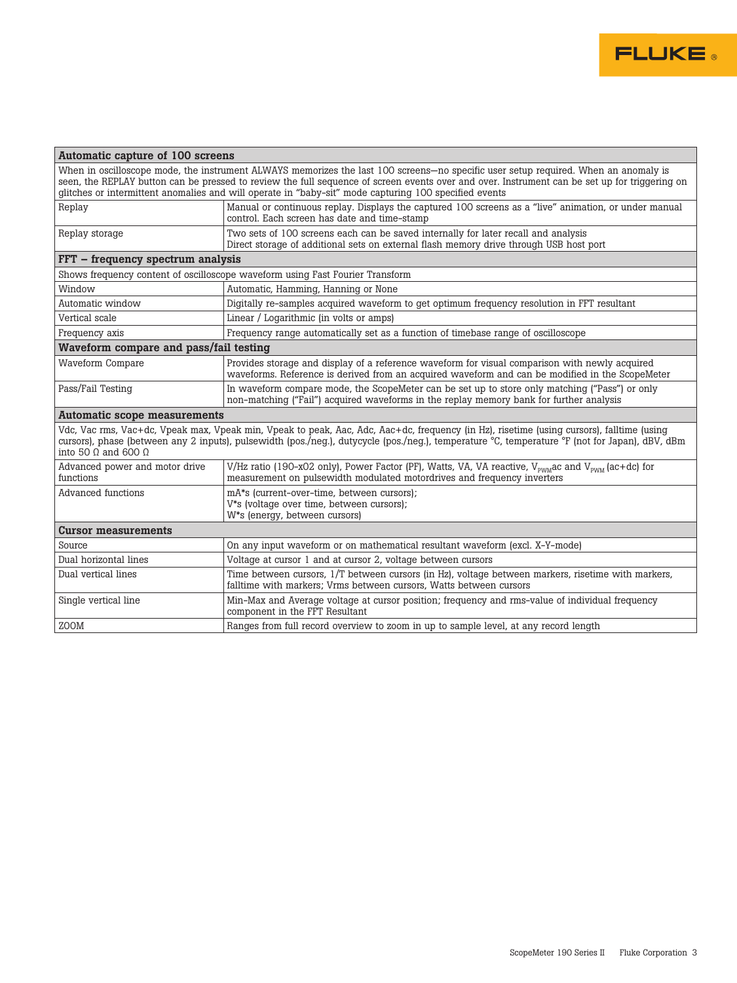

| Automatic capture of 100 screens            |                                                                                                                                                                                                                                                                                                                                                                                               |  |  |
|---------------------------------------------|-----------------------------------------------------------------------------------------------------------------------------------------------------------------------------------------------------------------------------------------------------------------------------------------------------------------------------------------------------------------------------------------------|--|--|
|                                             | When in oscilloscope mode, the instrument ALWAYS memorizes the last 100 screens-no specific user setup required. When an anomaly is<br>seen, the REPLAY button can be pressed to review the full sequence of screen events over and over. Instrument can be set up for triggering on<br>glitches or intermittent anomalies and will operate in "baby-sit" mode capturing 100 specified events |  |  |
| Replay                                      | Manual or continuous replay. Displays the captured 100 screens as a "live" animation, or under manual<br>control. Each screen has date and time-stamp                                                                                                                                                                                                                                         |  |  |
| Replay storage                              | Two sets of 100 screens each can be saved internally for later recall and analysis<br>Direct storage of additional sets on external flash memory drive through USB host port                                                                                                                                                                                                                  |  |  |
| FFT – frequency spectrum analysis           |                                                                                                                                                                                                                                                                                                                                                                                               |  |  |
|                                             | Shows frequency content of oscilloscope waveform using Fast Fourier Transform                                                                                                                                                                                                                                                                                                                 |  |  |
| Window                                      | Automatic, Hamming, Hanning or None                                                                                                                                                                                                                                                                                                                                                           |  |  |
| Automatic window                            | Digitally re-samples acquired waveform to get optimum frequency resolution in FFT resultant                                                                                                                                                                                                                                                                                                   |  |  |
| Vertical scale                              | Linear / Logarithmic (in volts or amps)                                                                                                                                                                                                                                                                                                                                                       |  |  |
| Frequency axis                              | Frequency range automatically set as a function of timebase range of oscilloscope                                                                                                                                                                                                                                                                                                             |  |  |
| Waveform compare and pass/fail testing      |                                                                                                                                                                                                                                                                                                                                                                                               |  |  |
| Waveform Compare                            | Provides storage and display of a reference waveform for visual comparison with newly acquired<br>waveforms. Reference is derived from an acquired waveform and can be modified in the ScopeMeter                                                                                                                                                                                             |  |  |
| Pass/Fail Testing                           | In waveform compare mode, the ScopeMeter can be set up to store only matching ("Pass") or only<br>non-matching ("Fail") acquired waveforms in the replay memory bank for further analysis                                                                                                                                                                                                     |  |  |
| <b>Automatic scope measurements</b>         |                                                                                                                                                                                                                                                                                                                                                                                               |  |  |
| into 50 Ω and 600 Ω                         | Vdc, Vac rms, Vac+dc, Vpeak max, Vpeak min, Vpeak to peak, Aac, Adc, Aac+dc, frequency (in Hz), risetime (using cursors), falltime (using<br>cursors), phase (between any 2 inputs), pulsewidth (pos./neg.), dutycycle (pos./neg.), temperature °C, temperature °F (not for Japan), dBV, dBm                                                                                                  |  |  |
| Advanced power and motor drive<br>functions | V/Hz ratio (190-x02 only), Power Factor (PF), Watts, VA, VA reactive, V <sub>PWM</sub> ac and V <sub>PWM</sub> (ac+dc) for<br>measurement on pulsewidth modulated motordrives and frequency inverters                                                                                                                                                                                         |  |  |
| Advanced functions                          | mA*s (current-over-time, between cursors);<br>V*s (voltage over time, between cursors);<br>W*s (energy, between cursors)                                                                                                                                                                                                                                                                      |  |  |
| <b>Cursor measurements</b>                  |                                                                                                                                                                                                                                                                                                                                                                                               |  |  |
| Source                                      | On any input waveform or on mathematical resultant waveform (excl. X-Y-mode)                                                                                                                                                                                                                                                                                                                  |  |  |
| Dual horizontal lines                       | Voltage at cursor 1 and at cursor 2, voltage between cursors                                                                                                                                                                                                                                                                                                                                  |  |  |
| Dual vertical lines                         | Time between cursors, 1/T between cursors (in Hz), voltage between markers, risetime with markers,<br>falltime with markers: Vrms between cursors. Watts between cursors                                                                                                                                                                                                                      |  |  |
| Single vertical line                        | Min-Max and Average voltage at cursor position; frequency and rms-value of individual frequency<br>component in the FFT Resultant                                                                                                                                                                                                                                                             |  |  |
| <b>ZOOM</b>                                 | Ranges from full record overview to zoom in up to sample level, at any record length                                                                                                                                                                                                                                                                                                          |  |  |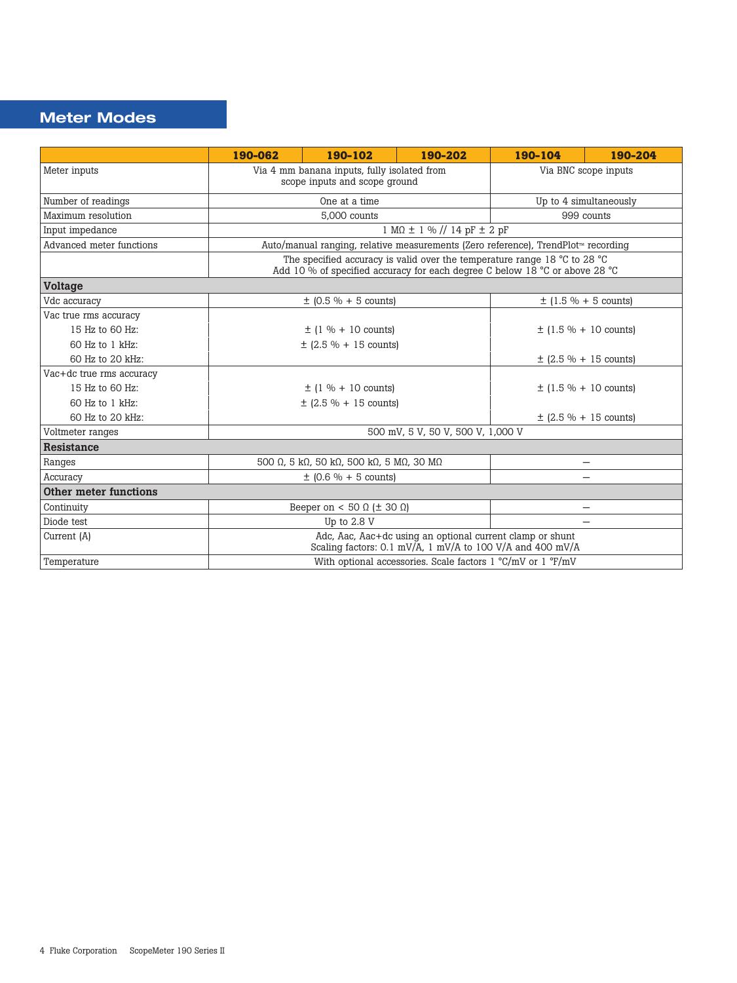### **Meter Modes**

|                          | 190-062                                                                                                                                                                      | 190-102                  | 190-202                                  | 190-104                                                                           | 190-204                   |
|--------------------------|------------------------------------------------------------------------------------------------------------------------------------------------------------------------------|--------------------------|------------------------------------------|-----------------------------------------------------------------------------------|---------------------------|
| Meter inputs             | Via 4 mm banana inputs, fully isolated from<br>Via BNC scope inputs<br>scope inputs and scope ground                                                                         |                          |                                          |                                                                                   |                           |
| Number of readings       |                                                                                                                                                                              | One at a time            |                                          |                                                                                   | Up to 4 simultaneously    |
| Maximum resolution       |                                                                                                                                                                              | 5,000 counts             |                                          |                                                                                   | 999 counts                |
| Input impedance          |                                                                                                                                                                              |                          | $1 M\Omega \pm 1 \%$ // 14 pF $\pm 2$ pF |                                                                                   |                           |
| Advanced meter functions |                                                                                                                                                                              |                          |                                          | Auto/manual ranging, relative measurements (Zero reference), TrendPlot™ recording |                           |
|                          | The specified accuracy is valid over the temperature range 18 $^{\circ}$ C to 28 $^{\circ}$ C<br>Add 10 % of specified accuracy for each degree C below 18 °C or above 28 °C |                          |                                          |                                                                                   |                           |
| <b>Voltage</b>           |                                                                                                                                                                              |                          |                                          |                                                                                   |                           |
| Vdc accuracy             |                                                                                                                                                                              | $\pm$ (0.5 % + 5 counts) |                                          |                                                                                   | $\pm$ (1.5 % + 5 counts)  |
| Vac true rms accuracy    |                                                                                                                                                                              |                          |                                          |                                                                                   |                           |
| 15 Hz to 60 Hz:          | $\pm$ (1 % + 10 counts)                                                                                                                                                      |                          |                                          |                                                                                   | $\pm$ (1.5 % + 10 counts) |
| 60 Hz to 1 kHz:          | $\pm$ (2.5 % + 15 counts)                                                                                                                                                    |                          |                                          |                                                                                   |                           |
| 60 Hz to 20 kHz:         |                                                                                                                                                                              |                          |                                          | $\pm$ (2.5 % + 15 counts)                                                         |                           |
| Vac+dc true rms accuracy |                                                                                                                                                                              |                          |                                          |                                                                                   |                           |
| 15 Hz to 60 Hz:          | $\pm$ (1 % + 10 counts)                                                                                                                                                      |                          |                                          |                                                                                   | $\pm$ (1.5 % + 10 counts) |
| 60 Hz to 1 kHz:          | $\pm$ (2.5 % + 15 counts)                                                                                                                                                    |                          |                                          |                                                                                   |                           |
| 60 Hz to 20 kHz:         | $\pm$ (2.5 % + 15 counts)                                                                                                                                                    |                          |                                          |                                                                                   |                           |
| Voltmeter ranges         | 500 mV, 5 V, 50 V, 500 V, 1,000 V                                                                                                                                            |                          |                                          |                                                                                   |                           |
| Resistance               |                                                                                                                                                                              |                          |                                          |                                                                                   |                           |
| Ranges                   | 500 Ω, 5 kΩ, 50 kΩ, 500 kΩ, 5 MΩ, 30 MΩ                                                                                                                                      |                          |                                          |                                                                                   |                           |
| Accuracy                 | $\pm$ (0.6 % + 5 counts)                                                                                                                                                     |                          |                                          |                                                                                   | -                         |
| Other meter functions    |                                                                                                                                                                              |                          |                                          |                                                                                   |                           |
| Continuity               | Beeper on < 50 $\Omega$ ( $\pm$ 30 $\Omega$ )                                                                                                                                |                          |                                          |                                                                                   |                           |
| Diode test               | Up to $2.8$ V<br>$\overline{\phantom{0}}$                                                                                                                                    |                          |                                          |                                                                                   |                           |
| Current (A)              | Adc, Aac, Aac+dc using an optional current clamp or shunt<br>Scaling factors: 0.1 mV/A, 1 mV/A to 100 V/A and 400 mV/A                                                       |                          |                                          |                                                                                   |                           |
| Temperature              | With optional accessories. Scale factors $1 °C/mV$ or $1 °F/mV$                                                                                                              |                          |                                          |                                                                                   |                           |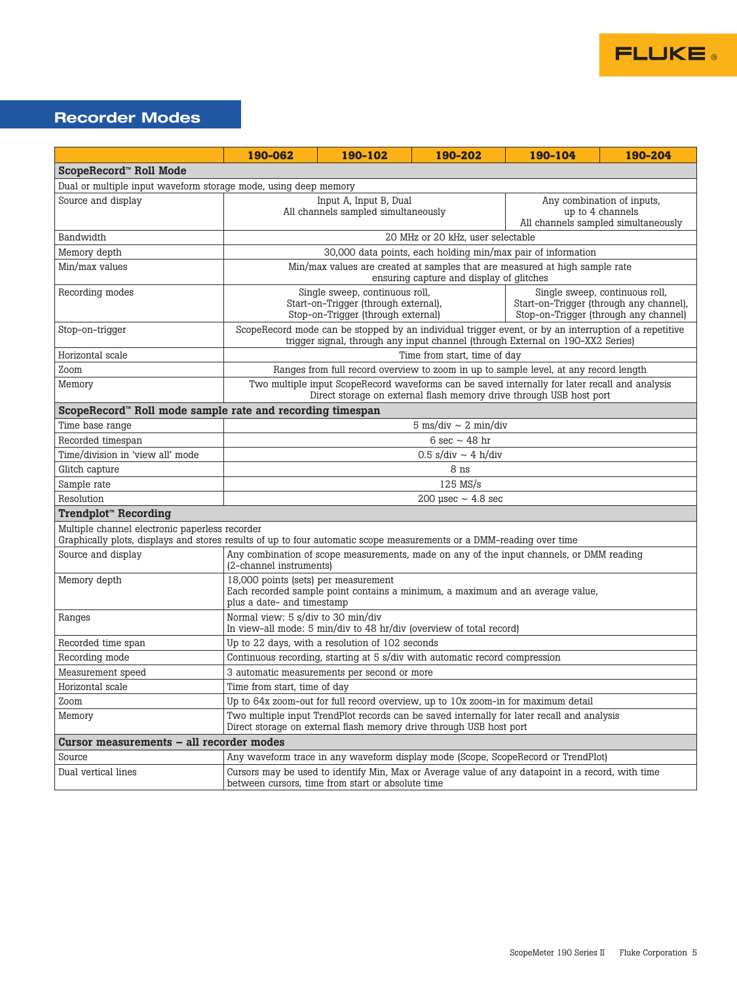

### **Recorder Modes**

|                                                                                                                                                                        | 190-062                                                                                                                                                           | 190-102                                                                                                                                                               | 190-202                                                 | 190-104                                                                                                                                                                                 | 190-204                                                                                                            |
|------------------------------------------------------------------------------------------------------------------------------------------------------------------------|-------------------------------------------------------------------------------------------------------------------------------------------------------------------|-----------------------------------------------------------------------------------------------------------------------------------------------------------------------|---------------------------------------------------------|-----------------------------------------------------------------------------------------------------------------------------------------------------------------------------------------|--------------------------------------------------------------------------------------------------------------------|
| ScopeRecord™ Roll Mode                                                                                                                                                 |                                                                                                                                                                   |                                                                                                                                                                       |                                                         |                                                                                                                                                                                         |                                                                                                                    |
| Dual or multiple input waveform storage mode, using deep memory                                                                                                        |                                                                                                                                                                   |                                                                                                                                                                       |                                                         |                                                                                                                                                                                         |                                                                                                                    |
| Source and display                                                                                                                                                     | Input A, Input B, Dual<br>Any combination of inputs,<br>All channels sampled simultaneously<br>up to 4 channels<br>All channels sampled simultaneously            |                                                                                                                                                                       |                                                         |                                                                                                                                                                                         |                                                                                                                    |
| Bandwidth                                                                                                                                                              |                                                                                                                                                                   |                                                                                                                                                                       | 20 MHz or 20 kHz, user selectable                       |                                                                                                                                                                                         |                                                                                                                    |
| Memory depth                                                                                                                                                           |                                                                                                                                                                   |                                                                                                                                                                       |                                                         | 30,000 data points, each holding min/max pair of information                                                                                                                            |                                                                                                                    |
| Min/max values                                                                                                                                                         |                                                                                                                                                                   |                                                                                                                                                                       | ensuring capture and display of glitches                | Min/max values are created at samples that are measured at high sample rate                                                                                                             |                                                                                                                    |
| Recording modes                                                                                                                                                        |                                                                                                                                                                   | Single sweep, continuous roll,<br>Start-on-Trigger (through external),<br>Stop-on-Trigger (through external)                                                          |                                                         |                                                                                                                                                                                         | Single sweep, continuous roll,<br>Start-on-Trigger (through any channel),<br>Stop-on-Trigger (through any channel) |
| Stop-on-trigger                                                                                                                                                        |                                                                                                                                                                   |                                                                                                                                                                       |                                                         | ScopeRecord mode can be stopped by an individual trigger event, or by an interruption of a repetitive<br>trigger signal, through any input channel (through External on 190-XX2 Series) |                                                                                                                    |
| Horizontal scale                                                                                                                                                       |                                                                                                                                                                   |                                                                                                                                                                       | Time from start, time of day                            |                                                                                                                                                                                         |                                                                                                                    |
| Zoom                                                                                                                                                                   |                                                                                                                                                                   |                                                                                                                                                                       |                                                         | Ranges from full record overview to zoom in up to sample level, at any record length                                                                                                    |                                                                                                                    |
| Memory                                                                                                                                                                 |                                                                                                                                                                   | Two multiple input ScopeRecord waveforms can be saved internally for later recall and analysis<br>Direct storage on external flash memory drive through USB host port |                                                         |                                                                                                                                                                                         |                                                                                                                    |
| ScopeRecord™ Roll mode sample rate and recording timespan                                                                                                              |                                                                                                                                                                   |                                                                                                                                                                       |                                                         |                                                                                                                                                                                         |                                                                                                                    |
| Time base range                                                                                                                                                        |                                                                                                                                                                   |                                                                                                                                                                       | $5 \text{ ms}/\text{div} \sim 2 \text{ min}/\text{div}$ |                                                                                                                                                                                         |                                                                                                                    |
| Recorded timespan                                                                                                                                                      | 6 sec $\sim$ 48 hr                                                                                                                                                |                                                                                                                                                                       |                                                         |                                                                                                                                                                                         |                                                                                                                    |
| Time/division in 'view all' mode                                                                                                                                       | $0.5$ s/div $\sim$ 4 h/div                                                                                                                                        |                                                                                                                                                                       |                                                         |                                                                                                                                                                                         |                                                                                                                    |
| Glitch capture                                                                                                                                                         | 8 ns                                                                                                                                                              |                                                                                                                                                                       |                                                         |                                                                                                                                                                                         |                                                                                                                    |
| Sample rate                                                                                                                                                            | $125$ MS/s                                                                                                                                                        |                                                                                                                                                                       |                                                         |                                                                                                                                                                                         |                                                                                                                    |
| Resolution                                                                                                                                                             | 200 usec $\sim$ 4.8 sec                                                                                                                                           |                                                                                                                                                                       |                                                         |                                                                                                                                                                                         |                                                                                                                    |
| Trendplot™ Recording                                                                                                                                                   |                                                                                                                                                                   |                                                                                                                                                                       |                                                         |                                                                                                                                                                                         |                                                                                                                    |
| Multiple channel electronic paperless recorder<br>Graphically plots, displays and stores results of up to four automatic scope measurements or a DMM-reading over time |                                                                                                                                                                   |                                                                                                                                                                       |                                                         |                                                                                                                                                                                         |                                                                                                                    |
| Source and display                                                                                                                                                     | Any combination of scope measurements, made on any of the input channels, or DMM reading<br>(2-channel instruments)                                               |                                                                                                                                                                       |                                                         |                                                                                                                                                                                         |                                                                                                                    |
| Memory depth                                                                                                                                                           | 18,000 points (sets) per measurement<br>Each recorded sample point contains a minimum, a maximum and an average value,<br>plus a date- and timestamp              |                                                                                                                                                                       |                                                         |                                                                                                                                                                                         |                                                                                                                    |
| Ranges                                                                                                                                                                 | Normal view: 5 s/div to 30 min/div<br>In view-all mode: 5 min/div to 48 hr/div (overview of total record)                                                         |                                                                                                                                                                       |                                                         |                                                                                                                                                                                         |                                                                                                                    |
| Recorded time span                                                                                                                                                     | Up to 22 days, with a resolution of 102 seconds                                                                                                                   |                                                                                                                                                                       |                                                         |                                                                                                                                                                                         |                                                                                                                    |
| Recording mode                                                                                                                                                         | Continuous recording, starting at 5 s/div with automatic record compression                                                                                       |                                                                                                                                                                       |                                                         |                                                                                                                                                                                         |                                                                                                                    |
| Measurement speed                                                                                                                                                      | 3 automatic measurements per second or more                                                                                                                       |                                                                                                                                                                       |                                                         |                                                                                                                                                                                         |                                                                                                                    |
| Horizontal scale                                                                                                                                                       | Time from start, time of day                                                                                                                                      |                                                                                                                                                                       |                                                         |                                                                                                                                                                                         |                                                                                                                    |
| Zoom                                                                                                                                                                   |                                                                                                                                                                   | Up to 64x zoom-out for full record overview, up to 10x zoom-in for maximum detail                                                                                     |                                                         |                                                                                                                                                                                         |                                                                                                                    |
| Memory                                                                                                                                                                 | Two multiple input TrendPlot records can be saved internally for later recall and analysis<br>Direct storage on external flash memory drive through USB host port |                                                                                                                                                                       |                                                         |                                                                                                                                                                                         |                                                                                                                    |
| Cursor measurements - all recorder modes                                                                                                                               |                                                                                                                                                                   |                                                                                                                                                                       |                                                         |                                                                                                                                                                                         |                                                                                                                    |
| Source                                                                                                                                                                 |                                                                                                                                                                   |                                                                                                                                                                       |                                                         | Any waveform trace in any waveform display mode (Scope, ScopeRecord or TrendPlot)                                                                                                       |                                                                                                                    |
| Dual vertical lines                                                                                                                                                    |                                                                                                                                                                   | between cursors, time from start or absolute time                                                                                                                     |                                                         | Cursors may be used to identify Min, Max or Average value of any datapoint in a record, with time                                                                                       |                                                                                                                    |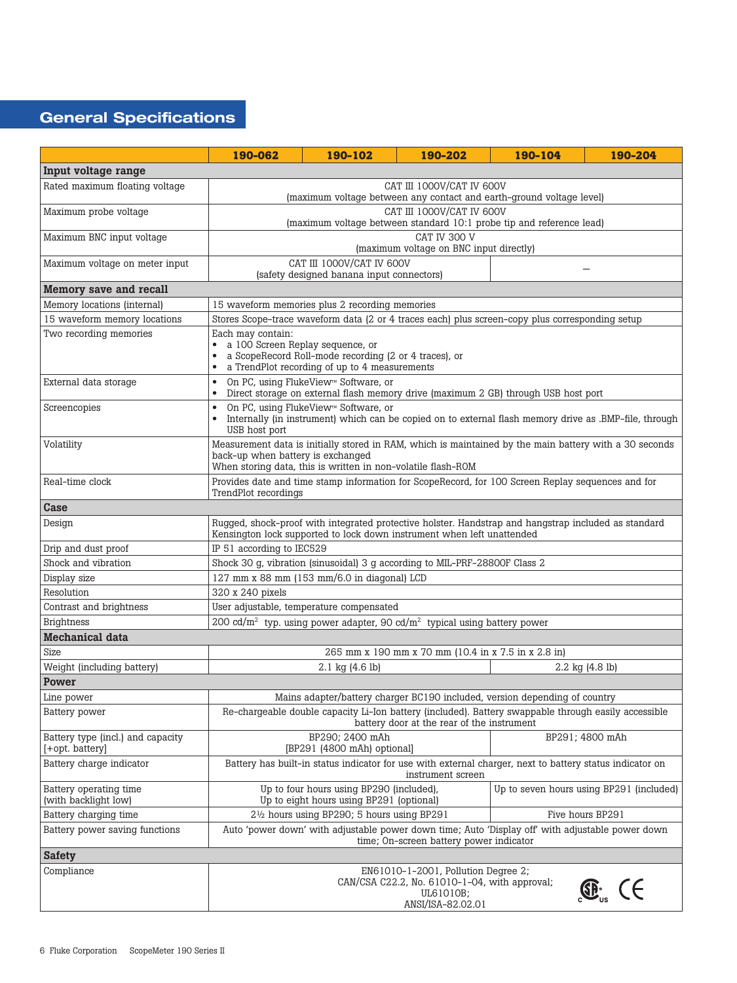# **General Specifications**

|                                                      | 190-062                                                                                                                                                                                                     | 190-102                                                                                                                                                                        | 190-202                                                                                                                | 190-104                                                                                           | 190-204                                                 |
|------------------------------------------------------|-------------------------------------------------------------------------------------------------------------------------------------------------------------------------------------------------------------|--------------------------------------------------------------------------------------------------------------------------------------------------------------------------------|------------------------------------------------------------------------------------------------------------------------|---------------------------------------------------------------------------------------------------|---------------------------------------------------------|
| Input voltage range                                  |                                                                                                                                                                                                             |                                                                                                                                                                                |                                                                                                                        |                                                                                                   |                                                         |
| Rated maximum floating voltage                       | CAT III 1000V/CAT IV 600V<br>(maximum voltage between any contact and earth-ground voltage level)                                                                                                           |                                                                                                                                                                                |                                                                                                                        |                                                                                                   |                                                         |
| Maximum probe voltage                                | CAT III 1000V/CAT IV 600V<br>(maximum voltage between standard 10:1 probe tip and reference lead)                                                                                                           |                                                                                                                                                                                |                                                                                                                        |                                                                                                   |                                                         |
| Maximum BNC input voltage                            |                                                                                                                                                                                                             |                                                                                                                                                                                | <b>CAT IV 300 V</b><br>(maximum voltage on BNC input directly)                                                         |                                                                                                   |                                                         |
| Maximum voltage on meter input                       |                                                                                                                                                                                                             | CAT III 1000V/CAT IV 600V                                                                                                                                                      |                                                                                                                        |                                                                                                   |                                                         |
|                                                      |                                                                                                                                                                                                             | (safety designed banana input connectors)                                                                                                                                      |                                                                                                                        |                                                                                                   |                                                         |
| <b>Memory save and recall</b>                        |                                                                                                                                                                                                             |                                                                                                                                                                                |                                                                                                                        |                                                                                                   |                                                         |
| Memory locations (internal)                          |                                                                                                                                                                                                             | 15 waveform memories plus 2 recording memories                                                                                                                                 |                                                                                                                        |                                                                                                   |                                                         |
| 15 waveform memory locations                         |                                                                                                                                                                                                             |                                                                                                                                                                                |                                                                                                                        | Stores Scope-trace waveform data (2 or 4 traces each) plus screen-copy plus corresponding setup   |                                                         |
| Two recording memories                               |                                                                                                                                                                                                             | Each may contain:<br>a 100 Screen Replay sequence, or<br>a ScopeRecord Roll-mode recording (2 or 4 traces), or<br>a TrendPlot recording of up to 4 measurements                |                                                                                                                        |                                                                                                   |                                                         |
| External data storage                                | $\bullet$                                                                                                                                                                                                   | On PC, using FlukeView™ Software, or                                                                                                                                           |                                                                                                                        | Direct storage on external flash memory drive (maximum 2 GB) through USB host port                |                                                         |
| Screencopies                                         | On PC, using FlukeView™ Software, or<br>$\bullet$<br>Internally (in instrument) which can be copied on to external flash memory drive as .BMP-file, through<br>USB host port                                |                                                                                                                                                                                |                                                                                                                        |                                                                                                   |                                                         |
| Volatility                                           | Measurement data is initially stored in RAM, which is maintained by the main battery with a 30 seconds<br>back-up when battery is exchanged<br>When storing data, this is written in non-volatile flash-ROM |                                                                                                                                                                                |                                                                                                                        |                                                                                                   |                                                         |
| Real-time clock                                      | TrendPlot recordings                                                                                                                                                                                        |                                                                                                                                                                                |                                                                                                                        | Provides date and time stamp information for ScopeRecord, for 100 Screen Replay sequences and for |                                                         |
| Case                                                 |                                                                                                                                                                                                             |                                                                                                                                                                                |                                                                                                                        |                                                                                                   |                                                         |
| Design                                               |                                                                                                                                                                                                             | Rugged, shock-proof with integrated protective holster. Handstrap and hangstrap included as standard<br>Kensington lock supported to lock down instrument when left unattended |                                                                                                                        |                                                                                                   |                                                         |
| Drip and dust proof                                  | IP 51 according to IEC529                                                                                                                                                                                   |                                                                                                                                                                                |                                                                                                                        |                                                                                                   |                                                         |
| Shock and vibration                                  | Shock 30 g, vibration (sinusoidal) 3 g according to MIL-PRF-28800F Class 2                                                                                                                                  |                                                                                                                                                                                |                                                                                                                        |                                                                                                   |                                                         |
| Display size                                         | 127 mm x 88 mm (153 mm/6.0 in diagonal) LCD                                                                                                                                                                 |                                                                                                                                                                                |                                                                                                                        |                                                                                                   |                                                         |
| Resolution                                           | 320 x 240 pixels                                                                                                                                                                                            |                                                                                                                                                                                |                                                                                                                        |                                                                                                   |                                                         |
| Contrast and brightness                              | User adjustable, temperature compensated                                                                                                                                                                    |                                                                                                                                                                                |                                                                                                                        |                                                                                                   |                                                         |
| <b>Brightness</b>                                    | 200 cd/m <sup>2</sup> typ. using power adapter, 90 cd/m <sup>2</sup> typical using battery power                                                                                                            |                                                                                                                                                                                |                                                                                                                        |                                                                                                   |                                                         |
| <b>Mechanical data</b>                               |                                                                                                                                                                                                             |                                                                                                                                                                                |                                                                                                                        |                                                                                                   |                                                         |
| Size                                                 |                                                                                                                                                                                                             |                                                                                                                                                                                | 265 mm x 190 mm x 70 mm (10.4 in x 7.5 in x 2.8 in)                                                                    |                                                                                                   |                                                         |
| Weight (including battery)                           |                                                                                                                                                                                                             | 2.1 kg (4.6 lb)                                                                                                                                                                |                                                                                                                        |                                                                                                   | 2.2 kg (4.8 lb)                                         |
| Power                                                |                                                                                                                                                                                                             |                                                                                                                                                                                |                                                                                                                        |                                                                                                   |                                                         |
| Line power                                           |                                                                                                                                                                                                             |                                                                                                                                                                                |                                                                                                                        | Mains adapter/battery charger BC190 included, version depending of country                        |                                                         |
| Battery power                                        | Re-chargeable double capacity Li-Ion battery (included). Battery swappable through easily accessible<br>battery door at the rear of the instrument                                                          |                                                                                                                                                                                |                                                                                                                        |                                                                                                   |                                                         |
| Battery type (incl.) and capacity<br>[+opt. battery] | BP290; 2400 mAh<br>BP291; 4800 mAh<br>[BP291 (4800 mAh) optional]                                                                                                                                           |                                                                                                                                                                                |                                                                                                                        |                                                                                                   |                                                         |
| Battery charge indicator                             | Battery has built-in status indicator for use with external charger, next to battery status indicator on<br>instrument screen                                                                               |                                                                                                                                                                                |                                                                                                                        |                                                                                                   |                                                         |
| Battery operating time<br>(with backlight low)       |                                                                                                                                                                                                             | Up to four hours using BP290 (included),<br>Up to eight hours using BP291 (optional)                                                                                           |                                                                                                                        |                                                                                                   | Up to seven hours using BP291 (included)                |
| Battery charging time                                |                                                                                                                                                                                                             | $2\frac{1}{2}$ hours using BP290; 5 hours using BP291                                                                                                                          |                                                                                                                        |                                                                                                   | Five hours BP291                                        |
| Battery power saving functions                       | Auto 'power down' with adjustable power down time; Auto 'Display off' with adjustable power down<br>time; On-screen battery power indicator                                                                 |                                                                                                                                                                                |                                                                                                                        |                                                                                                   |                                                         |
| <b>Safety</b>                                        |                                                                                                                                                                                                             |                                                                                                                                                                                |                                                                                                                        |                                                                                                   |                                                         |
| Compliance                                           |                                                                                                                                                                                                             |                                                                                                                                                                                | EN61010-1-2001, Pollution Degree 2;<br>CAN/CSA C22.2, No. 61010-1-04, with approval;<br>UL61010B;<br>ANSI/ISA-82.02.01 |                                                                                                   | $\textcircled{\tiny{A}}_{\text{us}} \in \mathbb{R}^{n}$ |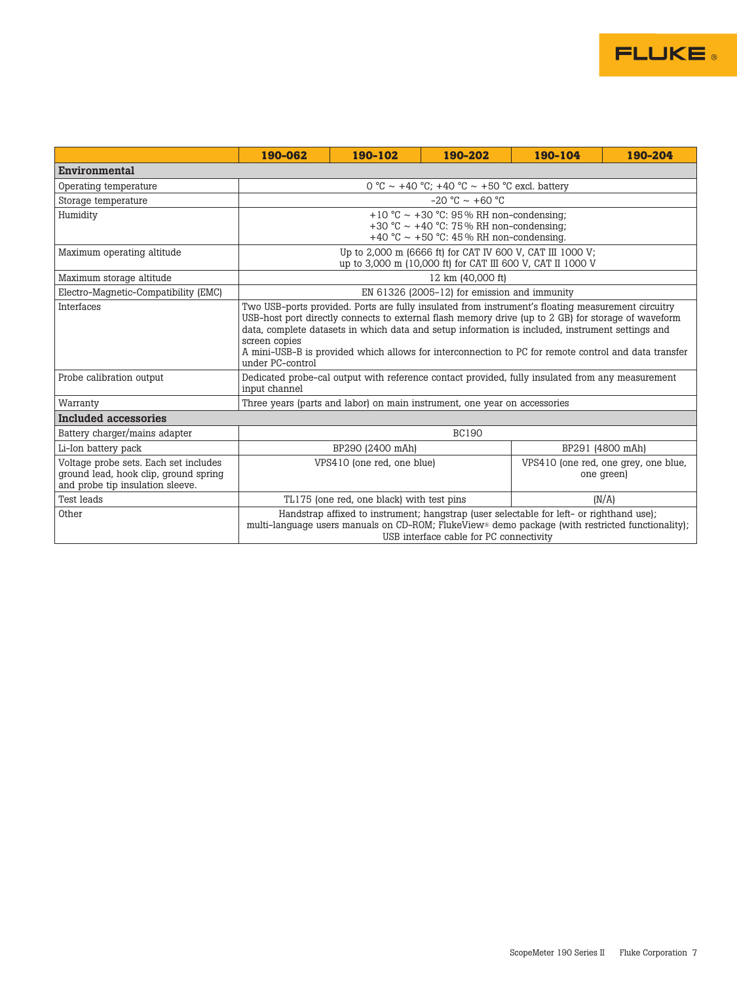

|                                                                                                                    | 190-062                                                                                                                                                                                                                                                                                                                                                                                                                                                    | 190-102                                                                                                                          | 190-202                                      | 190-104                                            | 190-204 |
|--------------------------------------------------------------------------------------------------------------------|------------------------------------------------------------------------------------------------------------------------------------------------------------------------------------------------------------------------------------------------------------------------------------------------------------------------------------------------------------------------------------------------------------------------------------------------------------|----------------------------------------------------------------------------------------------------------------------------------|----------------------------------------------|----------------------------------------------------|---------|
| Environmental                                                                                                      |                                                                                                                                                                                                                                                                                                                                                                                                                                                            |                                                                                                                                  |                                              |                                                    |         |
| Operating temperature                                                                                              | 0 °C ~ +40 °C; +40 °C ~ +50 °C excl. battery                                                                                                                                                                                                                                                                                                                                                                                                               |                                                                                                                                  |                                              |                                                    |         |
| Storage temperature                                                                                                |                                                                                                                                                                                                                                                                                                                                                                                                                                                            |                                                                                                                                  | $-20$ °C $\sim +60$ °C                       |                                                    |         |
| Humidity                                                                                                           |                                                                                                                                                                                                                                                                                                                                                                                                                                                            | +10 °C ~ +30 °C: 95 % RH non-condensing:<br>+30 °C ~ +40 °C: 75 % RH non-condensing;<br>+40 °C ~ +50 °C: 45 % RH non-condensing. |                                              |                                                    |         |
| Maximum operating altitude                                                                                         |                                                                                                                                                                                                                                                                                                                                                                                                                                                            | Up to 2,000 m (6666 ft) for CAT IV 600 V, CAT III 1000 V;<br>up to 3,000 m (10,000 ft) for CAT III 600 V, CAT II 1000 V          |                                              |                                                    |         |
| Maximum storage altitude                                                                                           |                                                                                                                                                                                                                                                                                                                                                                                                                                                            |                                                                                                                                  | 12 km (40,000 ft)                            |                                                    |         |
| Electro-Magnetic-Compatibility (EMC)                                                                               |                                                                                                                                                                                                                                                                                                                                                                                                                                                            |                                                                                                                                  | EN 61326 (2005–12) for emission and immunity |                                                    |         |
| Interfaces                                                                                                         | Two USB-ports provided. Ports are fully insulated from instrument's floating measurement circuitry<br>USB-host port directly connects to external flash memory drive (up to 2 GB) for storage of waveform<br>data, complete datasets in which data and setup information is included, instrument settings and<br>screen copies<br>A mini-USB-B is provided which allows for interconnection to PC for remote control and data transfer<br>under PC-control |                                                                                                                                  |                                              |                                                    |         |
| Probe calibration output                                                                                           | Dedicated probe-cal output with reference contact provided, fully insulated from any measurement<br>input channel                                                                                                                                                                                                                                                                                                                                          |                                                                                                                                  |                                              |                                                    |         |
| Warranty                                                                                                           | Three years (parts and labor) on main instrument, one year on accessories                                                                                                                                                                                                                                                                                                                                                                                  |                                                                                                                                  |                                              |                                                    |         |
| Included accessories                                                                                               |                                                                                                                                                                                                                                                                                                                                                                                                                                                            |                                                                                                                                  |                                              |                                                    |         |
| Battery charger/mains adapter                                                                                      | <b>BC190</b>                                                                                                                                                                                                                                                                                                                                                                                                                                               |                                                                                                                                  |                                              |                                                    |         |
| Li-Ion battery pack                                                                                                | BP290 (2400 mAh)                                                                                                                                                                                                                                                                                                                                                                                                                                           |                                                                                                                                  |                                              | BP291 (4800 mAh)                                   |         |
| Voltage probe sets. Each set includes<br>ground lead, hook clip, ground spring<br>and probe tip insulation sleeve. | VPS410 (one red, one blue)                                                                                                                                                                                                                                                                                                                                                                                                                                 |                                                                                                                                  |                                              | VPS410 (one red, one grey, one blue,<br>one green) |         |
| <b>Test leads</b>                                                                                                  |                                                                                                                                                                                                                                                                                                                                                                                                                                                            | TL175 (one red, one black) with test pins                                                                                        |                                              |                                                    | (N/A)   |
| Other                                                                                                              | Handstrap affixed to instrument; hangstrap (user selectable for left- or righthand use);<br>multi-language users manuals on CD-ROM; FlukeView® demo package (with restricted functionality);<br>USB interface cable for PC connectivity                                                                                                                                                                                                                    |                                                                                                                                  |                                              |                                                    |         |